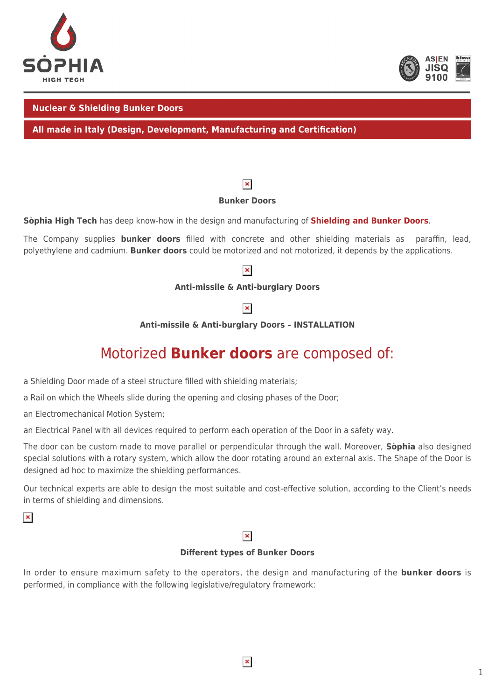



#### **Nuclear & Shielding Bunker Doors**

**All made in Italy (Design, Development, Manufacturing and Certification)**

### $\pmb{\times}$

#### **Bunker Doors**

**Sòphia High Tech** has deep know-how in the design and manufacturing of **[Shielding and Bunker Doors](https://youtu.be/cTRtH2yCRKI)**.

The Company supplies **bunker doors** filled with concrete and other shielding materials as paraffin, lead, polyethylene and cadmium. **Bunker doors** could be motorized and not motorized, it depends by the applications.

## $\pmb{\times}$

#### **Anti-missile & Anti-burglary Doors**

 $\pmb{\times}$ 

**Anti-missile & Anti-burglary Doors – INSTALLATION**

## Motorized **Bunker doors** are composed of:

a Shielding Door made of a steel structure filled with shielding materials;

a Rail on which the Wheels slide during the opening and closing phases of the Door;

an Electromechanical Motion System;

an Electrical Panel with all devices required to perform each operation of the Door in a safety way.

The door can be custom made to move parallel or perpendicular through the wall. Moreover, **Sòphia** also designed special solutions with a rotary system, which allow the door rotating around an external axis. The Shape of the Door is designed ad hoc to maximize the shielding performances.

Our technical experts are able to design the most suitable and cost-effective solution, according to the Client's needs in terms of shielding and dimensions.

 $\pmb{\times}$ 

#### $\pmb{\times}$

### **Different types of Bunker Doors**

In order to ensure maximum safety to the operators, the design and manufacturing of the **bunker doors** is performed, in compliance with the following legislative/regulatory framework: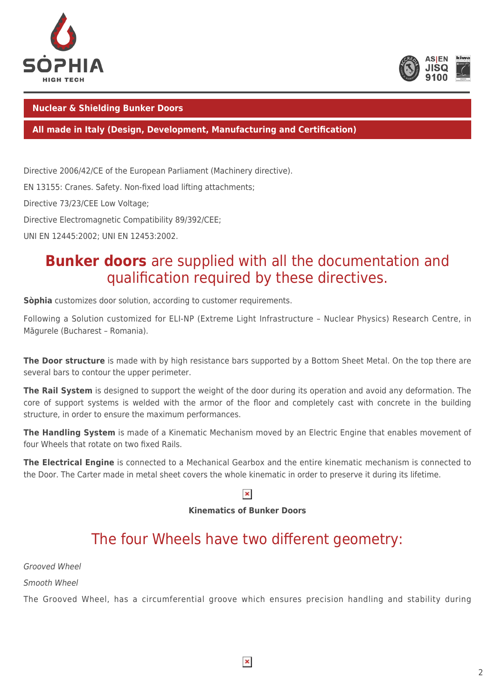



### **Nuclear & Shielding Bunker Doors**

#### **All made in Italy (Design, Development, Manufacturing and Certification)**

Directive 2006/42/CE of the European Parliament (Machinery directive).

EN 13155: Cranes. Safety. Non-fixed load lifting attachments;

Directive 73/23/CEE Low Voltage;

Directive Electromagnetic Compatibility 89/392/CEE;

UNI EN 12445:2002; UNI EN 12453:2002.

## **Bunker doors** are supplied with all the documentation and qualification required by these directives.

**Sòphia** customizes door solution, according to customer requirements.

Following a Solution customized for ELI-NP (Extreme Light Infrastructure – Nuclear Physics) Research Centre, in Măgurele (Bucharest – Romania).

**The Door structure** is made with by high resistance bars supported by a Bottom Sheet Metal. On the top there are several bars to contour the upper perimeter.

**The Rail System** is designed to support the weight of the door during its operation and avoid any deformation. The core of support systems is welded with the armor of the floor and completely cast with concrete in the building structure, in order to ensure the maximum performances.

**The Handling System** is made of a Kinematic Mechanism moved by an Electric Engine that enables movement of four Wheels that rotate on two fixed Rails.

**The Electrical Engine** is connected to a Mechanical Gearbox and the entire kinematic mechanism is connected to the Door. The Carter made in metal sheet covers the whole kinematic in order to preserve it during its lifetime.

## $\pmb{\times}$

#### **Kinematics of Bunker Doors**

# The four Wheels have two different geometry:

Grooved Wheel

Smooth Wheel

The Grooved Wheel, has a circumferential groove which ensures precision handling and stability during